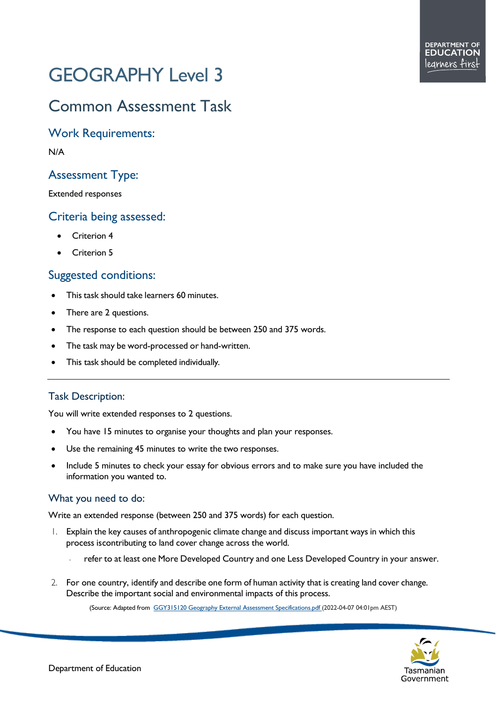# GEOGRAPHY Level 3

## Common Assessment Task

Work Requirements:

N/A

### Assessment Type:

Extended responses

#### Criteria being assessed:

- Criterion 4
- Criterion 5

#### Suggested conditions:

- This task should take learners 60 minutes.
- There are 2 questions.
- The response to each question should be between 250 and 375 words.
- The task may be word-processed or hand-written.
- This task should be completed individually.

#### Task Description:

You will write extended responses to 2 questions.

- You have 15 minutes to organise your thoughts and plan your responses.
- Use the remaining 45 minutes to write the two responses.
- Include 5 minutes to check your essay for obvious errors and to make sure you have included the information you wanted to.

#### What you need to do:

Write an extended response (between 250 and 375 words) for each question.

- 1. Explain the key causes of anthropogenic climate change and discuss important ways in which this process iscontributing to land cover change across the world.
	- refer to at least one More Developed Country and one Less Developed Country in your answer.
- 2. For one country, identify and describe one form of human activity that is creating land cover change. Describe the important social and environmental impacts of this process.

(Source: Adapted from [GGY315120 Geography External Assessment Specifications.pdf](https://cma.education.tas.gov.au/api/Document/4114/GGY315120%20Geography%20External%20Assessment%20Specifications.pdf) (2022-04-07 04:01pm AEST)